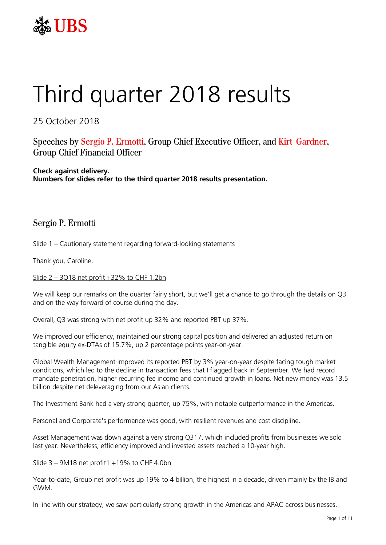

# Third quarter 2018 results

25 October 2018

Speeches by Sergio P. Ermotti, Group Chief Executive Officer, and Kirt Gardner, Group Chief Financial Officer

**Check against delivery. Numbers for slides refer to the third quarter 2018 results presentation.**

## Sergio P. Ermotti

Slide 1 – Cautionary statement regarding forward-looking statements

Thank you, Caroline.

Slide  $2 - 3Q18$  net profit  $+32\%$  to CHF 1.2bn

We will keep our remarks on the quarter fairly short, but we'll get a chance to go through the details on Q3 and on the way forward of course during the day.

Overall, Q3 was strong with net profit up 32% and reported PBT up 37%.

We improved our efficiency, maintained our strong capital position and delivered an adjusted return on tangible equity ex-DTAs of 15.7%, up 2 percentage points year-on-year.

Global Wealth Management improved its reported PBT by 3% year-on-year despite facing tough market conditions, which led to the decline in transaction fees that I flagged back in September. We had record mandate penetration, higher recurring fee income and continued growth in loans. Net new money was 13.5 billion despite net deleveraging from our Asian clients.

The Investment Bank had a very strong quarter, up 75%, with notable outperformance in the Americas.

Personal and Corporate's performance was good, with resilient revenues and cost discipline.

Asset Management was down against a very strong Q317, which included profits from businesses we sold last year. Nevertheless, efficiency improved and invested assets reached a 10-year high.

#### Slide 3 – 9M18 net profit1 +19% to CHF 4.0bn

Year-to-date, Group net profit was up 19% to 4 billion, the highest in a decade, driven mainly by the IB and GWM.

In line with our strategy, we saw particularly strong growth in the Americas and APAC across businesses.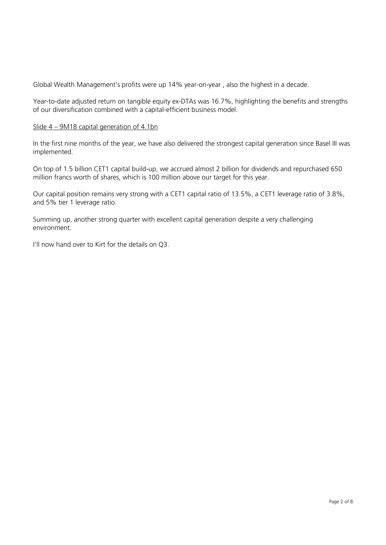Global Wealth Management's profits were up 14% year-on-year , also the highest in a decade.

Year-to-date adjusted return on tangible equity ex-DTAs was 16.7%, highlighting the benefits and strengths of our diversification combined with a capital-efficient business model.

### Slide 4 – 9M18 capital generation of 4.1bn

In the first nine months of the year, we have also delivered the strongest capital generation since Basel III was implemented.

On top of 1.5 billion CET1 capital build-up, we accrued almost 2 billion for dividends and repurchased 650 million francs worth of shares, which is 100 million above our target for this year.

Our capital position remains very strong with a CET1 capital ratio of 13.5%, a CET1 leverage ratio of 3.8%, and 5% tier 1 leverage ratio.

Summing up, another strong quarter with excellent capital generation despite a very challenging environment.

I'll now hand over to Kirt for the details on Q3.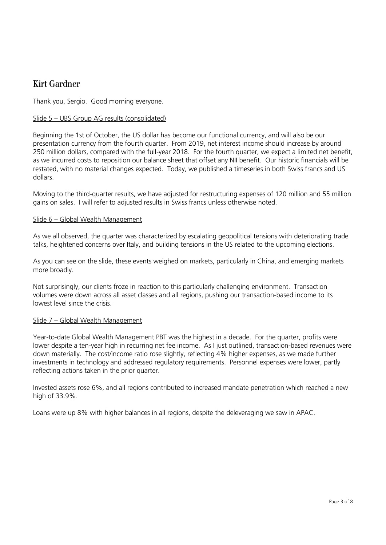## Kirt Gardner

Thank you, Sergio. Good morning everyone.

### Slide 5 – UBS Group AG results (consolidated)

Beginning the 1st of October, the US dollar has become our functional currency, and will also be our presentation currency from the fourth quarter. From 2019, net interest income should increase by around 250 million dollars, compared with the full-year 2018. For the fourth quarter, we expect a limited net benefit, as we incurred costs to reposition our balance sheet that offset any NII benefit. Our historic financials will be restated, with no material changes expected. Today, we published a timeseries in both Swiss francs and US dollars.

Moving to the third-quarter results, we have adjusted for restructuring expenses of 120 million and 55 million gains on sales. I will refer to adjusted results in Swiss francs unless otherwise noted.

#### Slide 6 – Global Wealth Management

As we all observed, the quarter was characterized by escalating geopolitical tensions with deteriorating trade talks, heightened concerns over Italy, and building tensions in the US related to the upcoming elections.

As you can see on the slide, these events weighed on markets, particularly in China, and emerging markets more broadly.

Not surprisingly, our clients froze in reaction to this particularly challenging environment. Transaction volumes were down across all asset classes and all regions, pushing our transaction-based income to its lowest level since the crisis.

#### Slide 7 – Global Wealth Management

Year-to-date Global Wealth Management PBT was the highest in a decade. For the quarter, profits were lower despite a ten-year high in recurring net fee income. As I just outlined, transaction-based revenues were down materially. The cost/income ratio rose slightly, reflecting 4% higher expenses, as we made further investments in technology and addressed regulatory requirements. Personnel expenses were lower, partly reflecting actions taken in the prior quarter.

Invested assets rose 6%, and all regions contributed to increased mandate penetration which reached a new high of 33.9%.

Loans were up 8% with higher balances in all regions, despite the deleveraging we saw in APAC.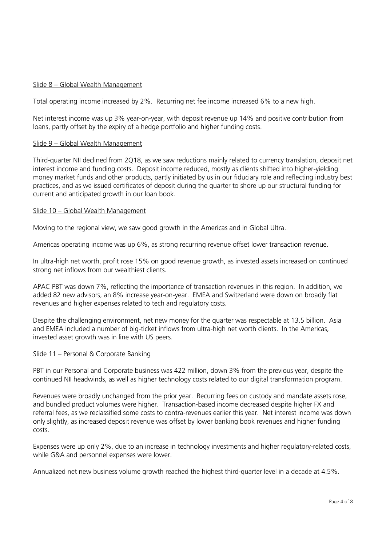#### Slide 8 – Global Wealth Management

Total operating income increased by 2%. Recurring net fee income increased 6% to a new high.

Net interest income was up 3% year-on-year, with deposit revenue up 14% and positive contribution from loans, partly offset by the expiry of a hedge portfolio and higher funding costs.

#### Slide 9 – Global Wealth Management

Third-quarter NII declined from 2Q18, as we saw reductions mainly related to currency translation, deposit net interest income and funding costs. Deposit income reduced, mostly as clients shifted into higher-yielding money market funds and other products, partly initiated by us in our fiduciary role and reflecting industry best practices, and as we issued certificates of deposit during the quarter to shore up our structural funding for current and anticipated growth in our loan book.

#### Slide 10 – Global Wealth Management

Moving to the regional view, we saw good growth in the Americas and in Global Ultra.

Americas operating income was up 6%, as strong recurring revenue offset lower transaction revenue.

In ultra-high net worth, profit rose 15% on good revenue growth, as invested assets increased on continued strong net inflows from our wealthiest clients.

APAC PBT was down 7%, reflecting the importance of transaction revenues in this region. In addition, we added 82 new advisors, an 8% increase year-on-year. EMEA and Switzerland were down on broadly flat revenues and higher expenses related to tech and regulatory costs.

Despite the challenging environment, net new money for the quarter was respectable at 13.5 billion. Asia and EMEA included a number of big-ticket inflows from ultra-high net worth clients. In the Americas, invested asset growth was in line with US peers.

#### Slide 11 – Personal & Corporate Banking

PBT in our Personal and Corporate business was 422 million, down 3% from the previous year, despite the continued NII headwinds, as well as higher technology costs related to our digital transformation program.

Revenues were broadly unchanged from the prior year. Recurring fees on custody and mandate assets rose, and bundled product volumes were higher. Transaction-based income decreased despite higher FX and referral fees, as we reclassified some costs to contra-revenues earlier this year. Net interest income was down only slightly, as increased deposit revenue was offset by lower banking book revenues and higher funding costs.

Expenses were up only 2%, due to an increase in technology investments and higher regulatory-related costs, while G&A and personnel expenses were lower.

Annualized net new business volume growth reached the highest third-quarter level in a decade at 4.5%.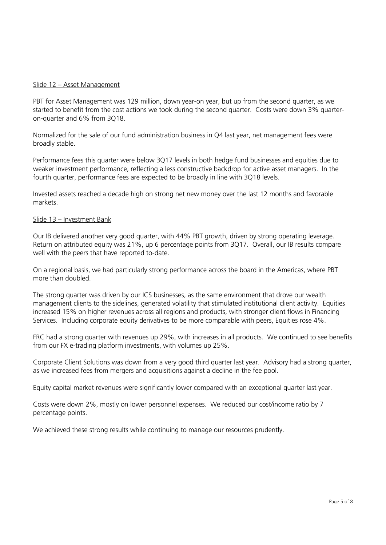#### Slide 12 – Asset Management

PBT for Asset Management was 129 million, down year-on year, but up from the second quarter, as we started to benefit from the cost actions we took during the second quarter. Costs were down 3% quarteron-quarter and 6% from 3Q18.

Normalized for the sale of our fund administration business in Q4 last year, net management fees were broadly stable.

Performance fees this quarter were below 3Q17 levels in both hedge fund businesses and equities due to weaker investment performance, reflecting a less constructive backdrop for active asset managers. In the fourth quarter, performance fees are expected to be broadly in line with 3Q18 levels.

Invested assets reached a decade high on strong net new money over the last 12 months and favorable markets.

#### Slide 13 – Investment Bank

Our IB delivered another very good quarter, with 44% PBT growth, driven by strong operating leverage. Return on attributed equity was 21%, up 6 percentage points from 3Q17. Overall, our IB results compare well with the peers that have reported to-date.

On a regional basis, we had particularly strong performance across the board in the Americas, where PBT more than doubled.

The strong quarter was driven by our ICS businesses, as the same environment that drove our wealth management clients to the sidelines, generated volatility that stimulated institutional client activity. Equities increased 15% on higher revenues across all regions and products, with stronger client flows in Financing Services. Including corporate equity derivatives to be more comparable with peers, Equities rose 4%.

FRC had a strong quarter with revenues up 29%, with increases in all products. We continued to see benefits from our FX e-trading platform investments, with volumes up 25%.

Corporate Client Solutions was down from a very good third quarter last year. Advisory had a strong quarter, as we increased fees from mergers and acquisitions against a decline in the fee pool.

Equity capital market revenues were significantly lower compared with an exceptional quarter last year.

Costs were down 2%, mostly on lower personnel expenses. We reduced our cost/income ratio by 7 percentage points.

We achieved these strong results while continuing to manage our resources prudently.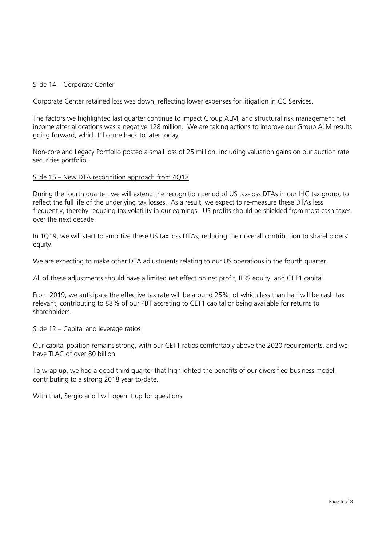### Slide 14 – Corporate Center

Corporate Center retained loss was down, reflecting lower expenses for litigation in CC Services.

The factors we highlighted last quarter continue to impact Group ALM, and structural risk management net income after allocations was a negative 128 million. We are taking actions to improve our Group ALM results going forward, which I'll come back to later today.

Non-core and Legacy Portfolio posted a small loss of 25 million, including valuation gains on our auction rate securities portfolio.

#### Slide 15 – New DTA recognition approach from 4Q18

During the fourth quarter, we will extend the recognition period of US tax-loss DTAs in our IHC tax group, to reflect the full life of the underlying tax losses. As a result, we expect to re-measure these DTAs less frequently, thereby reducing tax volatility in our earnings. US profits should be shielded from most cash taxes over the next decade.

In 1Q19, we will start to amortize these US tax loss DTAs, reducing their overall contribution to shareholders' equity.

We are expecting to make other DTA adjustments relating to our US operations in the fourth quarter.

All of these adjustments should have a limited net effect on net profit, IFRS equity, and CET1 capital.

From 2019, we anticipate the effective tax rate will be around 25%, of which less than half will be cash tax relevant, contributing to 88% of our PBT accreting to CET1 capital or being available for returns to shareholders.

#### Slide 12 – Capital and leverage ratios

Our capital position remains strong, with our CET1 ratios comfortably above the 2020 requirements, and we have TLAC of over 80 billion.

To wrap up, we had a good third quarter that highlighted the benefits of our diversified business model, contributing to a strong 2018 year to-date.

With that, Sergio and I will open it up for questions.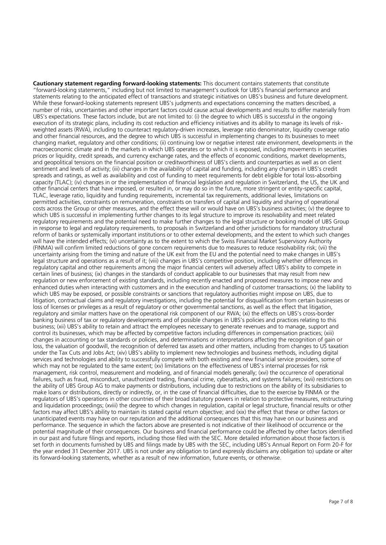**Cautionary statement regarding forward-looking statements:** This document contains statements that constitute "forward-looking statements," including but not limited to management's outlook for UBS's financial performance and statements relating to the anticipated effect of transactions and strategic initiatives on UBS's business and future development. While these forward-looking statements represent UBS's judgments and expectations concerning the matters described, a number of risks, uncertainties and other important factors could cause actual developments and results to differ materially from UBS's expectations. These factors include, but are not limited to: (i) the degree to which UBS is successful in the ongoing execution of its strategic plans, including its cost reduction and efficiency initiatives and its ability to manage its levels of riskweighted assets (RWA), including to counteract regulatory-driven increases, leverage ratio denominator, liquidity coverage ratio and other financial resources, and the degree to which UBS is successful in implementing changes to its businesses to meet changing market, regulatory and other conditions; (ii) continuing low or negative interest rate environment, developments in the macroeconomic climate and in the markets in which UBS operates or to which it is exposed, including movements in securities prices or liquidity, credit spreads, and currency exchange rates, and the effects of economic conditions, market developments, and geopolitical tensions on the financial position or creditworthiness of UBS's clients and counterparties as well as on client sentiment and levels of activity; (iii) changes in the availability of capital and funding, including any changes in UBS's credit spreads and ratings, as well as availability and cost of funding to meet requirements for debt eligible for total loss-absorbing capacity (TLAC); (iv) changes in or the implementation of financial legislation and regulation in Switzerland, the US, the UK and other financial centers that have imposed, or resulted in, or may do so in the future, more stringent or entity-specific capital, TLAC, leverage ratio, liquidity and funding requirements, incremental tax requirements, additional levies, limitations on permitted activities, constraints on remuneration, constraints on transfers of capital and liquidity and sharing of operational costs across the Group or other measures, and the effect these will or would have on UBS's business activities; (v) the degree to which UBS is successful in implementing further changes to its legal structure to improve its resolvability and meet related regulatory requirements and the potential need to make further changes to the legal structure or booking model of UBS Group in response to legal and regulatory requirements, to proposals in Switzerland and other jurisdictions for mandatory structural reform of banks or systemically important institutions or to other external developments, and the extent to which such changes will have the intended effects; (vi) uncertainty as to the extent to which the Swiss Financial Market Supervisory Authority (FINMA) will confirm limited reductions of gone concern requirements due to measures to reduce resolvability risk; (vii) the uncertainty arising from the timing and nature of the UK exit from the EU and the potential need to make changes in UBS's legal structure and operations as a result of it; (viii) changes in UBS's competitive position, including whether differences in regulatory capital and other requirements among the major financial centers will adversely affect UBS's ability to compete in certain lines of business; (ix) changes in the standards of conduct applicable to our businesses that may result from new regulation or new enforcement of existing standards, including recently enacted and proposed measures to impose new and enhanced duties when interacting with customers and in the execution and handling of customer transactions; (x) the liability to which UBS may be exposed, or possible constraints or sanctions that regulatory authorities might impose on UBS, due to litigation, contractual claims and regulatory investigations, including the potential for disqualification from certain businesses or loss of licenses or privileges as a result of regulatory or other governmental sanctions, as well as the effect that litigation, regulatory and similar matters have on the operational risk component of our RWA; (xi) the effects on UBS's cross-border banking business of tax or regulatory developments and of possible changes in UBS's policies and practices relating to this business; (xii) UBS's ability to retain and attract the employees necessary to generate revenues and to manage, support and control its businesses, which may be affected by competitive factors including differences in compensation practices; (xiii) changes in accounting or tax standards or policies, and determinations or interpretations affecting the recognition of gain or loss, the valuation of goodwill, the recognition of deferred tax assets and other matters, including from changes to US taxation under the Tax Cuts and Jobs Act; (xiv) UBS's ability to implement new technologies and business methods, including digital services and technologies and ability to successfully compete with both existing and new financial service providers, some of which may not be regulated to the same extent; (xv) limitations on the effectiveness of UBS's internal processes for risk management, risk control, measurement and modeling, and of financial models generally; (xvi) the occurrence of operational failures, such as fraud, misconduct, unauthorized trading, financial crime, cyberattacks, and systems failures; (xvii) restrictions on the ability of UBS Group AG to make payments or distributions, including due to restrictions on the ability of its subsidiaries to make loans or distributions, directly or indirectly, or, in the case of financial difficulties, due to the exercise by FINMA or the regulators of UBS's operations in other countries of their broad statutory powers in relation to protective measures, restructuring and liquidation proceedings; (xviii) the degree to which changes in regulation, capital or legal structure, financial results or other factors may affect UBS's ability to maintain its stated capital return objective; and (xix) the effect that these or other factors or unanticipated events may have on our reputation and the additional consequences that this may have on our business and performance. The sequence in which the factors above are presented is not indicative of their likelihood of occurrence or the potential magnitude of their consequences. Our business and financial performance could be affected by other factors identified in our past and future filings and reports, including those filed with the SEC. More detailed information about those factors is set forth in documents furnished by UBS and filings made by UBS with the SEC, including UBS's Annual Report on Form 20-F for the year ended 31 December 2017. UBS is not under any obligation to (and expressly disclaims any obligation to) update or alter its forward-looking statements, whether as a result of new information, future events, or otherwise.